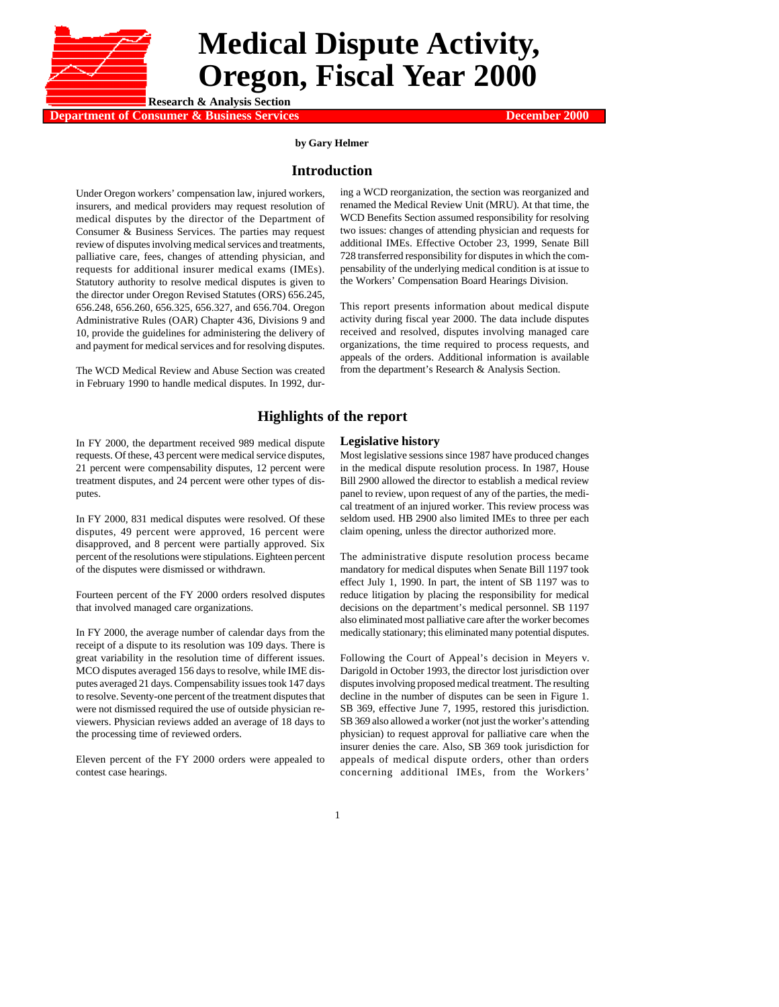

# **Medical Dispute Activity, Oregon, Fiscal Year 2000**

**Department of Consumer & Business Services December 2000 Research & Analysis Section**

#### **by Gary Helmer**

## **Introduction**

Under Oregon workers' compensation law, injured workers, insurers, and medical providers may request resolution of medical disputes by the director of the Department of Consumer & Business Services. The parties may request review of disputes involving medical services and treatments, palliative care, fees, changes of attending physician, and requests for additional insurer medical exams (IMEs). Statutory authority to resolve medical disputes is given to the director under Oregon Revised Statutes (ORS) 656.245, 656.248, 656.260, 656.325, 656.327, and 656.704. Oregon Administrative Rules (OAR) Chapter 436, Divisions 9 and 10, provide the guidelines for administering the delivery of and payment for medical services and for resolving disputes.

The WCD Medical Review and Abuse Section was created in February 1990 to handle medical disputes. In 1992, dur-

ing a WCD reorganization, the section was reorganized and renamed the Medical Review Unit (MRU). At that time, the WCD Benefits Section assumed responsibility for resolving two issues: changes of attending physician and requests for additional IMEs. Effective October 23, 1999, Senate Bill 728 transferred responsibility for disputes in which the compensability of the underlying medical condition is at issue to the Workers' Compensation Board Hearings Division.

This report presents information about medical dispute activity during fiscal year 2000. The data include disputes received and resolved, disputes involving managed care organizations, the time required to process requests, and appeals of the orders. Additional information is available from the department's Research & Analysis Section.

## **Highlights of the report**

#### **Legislative history**

In FY 2000, the department received 989 medical dispute requests. Of these, 43 percent were medical service disputes, 21 percent were compensability disputes, 12 percent were treatment disputes, and 24 percent were other types of disputes.

In FY 2000, 831 medical disputes were resolved. Of these disputes, 49 percent were approved, 16 percent were disapproved, and 8 percent were partially approved. Six percent of the resolutions were stipulations. Eighteen percent of the disputes were dismissed or withdrawn.

Fourteen percent of the FY 2000 orders resolved disputes that involved managed care organizations.

In FY 2000, the average number of calendar days from the receipt of a dispute to its resolution was 109 days. There is great variability in the resolution time of different issues. MCO disputes averaged 156 days to resolve, while IME disputes averaged 21 days. Compensability issues took 147 days to resolve. Seventy-one percent of the treatment disputes that were not dismissed required the use of outside physician reviewers. Physician reviews added an average of 18 days to the processing time of reviewed orders.

Eleven percent of the FY 2000 orders were appealed to contest case hearings.

Most legislative sessions since 1987 have produced changes in the medical dispute resolution process. In 1987, House Bill 2900 allowed the director to establish a medical review panel to review, upon request of any of the parties, the medical treatment of an injured worker. This review process was seldom used. HB 2900 also limited IMEs to three per each claim opening, unless the director authorized more.

The administrative dispute resolution process became mandatory for medical disputes when Senate Bill 1197 took effect July 1, 1990. In part, the intent of SB 1197 was to reduce litigation by placing the responsibility for medical decisions on the department's medical personnel. SB 1197 also eliminated most palliative care after the worker becomes medically stationary; this eliminated many potential disputes.

Following the Court of Appeal's decision in Meyers v. Darigold in October 1993, the director lost jurisdiction over disputes involving proposed medical treatment. The resulting decline in the number of disputes can be seen in Figure 1. SB 369, effective June 7, 1995, restored this jurisdiction. SB 369 also allowed a worker (not just the worker's attending physician) to request approval for palliative care when the insurer denies the care. Also, SB 369 took jurisdiction for appeals of medical dispute orders, other than orders concerning additional IMEs, from the Workers'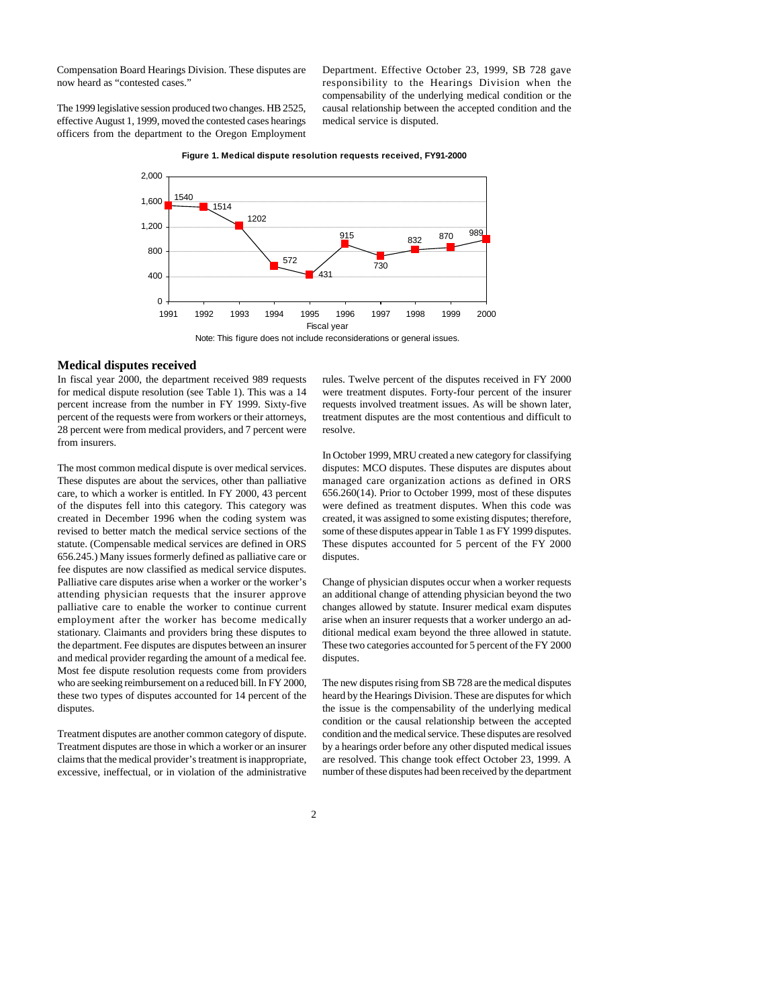Compensation Board Hearings Division. These disputes are now heard as "contested cases."

The 1999 legislative session produced two changes. HB 2525, effective August 1, 1999, moved the contested cases hearings officers from the department to the Oregon Employment Department. Effective October 23, 1999, SB 728 gave responsibility to the Hearings Division when the compensability of the underlying medical condition or the causal relationship between the accepted condition and the medical service is disputed.



#### **Figure 1. Medical dispute resolution requests received, FY91-2000**

## **Medical disputes received**

In fiscal year 2000, the department received 989 requests for medical dispute resolution (see Table 1). This was a 14 percent increase from the number in FY 1999. Sixty-five percent of the requests were from workers or their attorneys, 28 percent were from medical providers, and 7 percent were from insurers.

The most common medical dispute is over medical services. These disputes are about the services, other than palliative care, to which a worker is entitled. In FY 2000, 43 percent of the disputes fell into this category. This category was created in December 1996 when the coding system was revised to better match the medical service sections of the statute. (Compensable medical services are defined in ORS 656.245.) Many issues formerly defined as palliative care or fee disputes are now classified as medical service disputes. Palliative care disputes arise when a worker or the worker's attending physician requests that the insurer approve palliative care to enable the worker to continue current employment after the worker has become medically stationary. Claimants and providers bring these disputes to the department. Fee disputes are disputes between an insurer and medical provider regarding the amount of a medical fee. Most fee dispute resolution requests come from providers who are seeking reimbursement on a reduced bill. In FY 2000, these two types of disputes accounted for 14 percent of the disputes.

Treatment disputes are another common category of dispute. Treatment disputes are those in which a worker or an insurer claims that the medical provider's treatment is inappropriate, excessive, ineffectual, or in violation of the administrative rules. Twelve percent of the disputes received in FY 2000 were treatment disputes. Forty-four percent of the insurer requests involved treatment issues. As will be shown later, treatment disputes are the most contentious and difficult to resolve.

In October 1999, MRU created a new category for classifying disputes: MCO disputes. These disputes are disputes about managed care organization actions as defined in ORS 656.260(14). Prior to October 1999, most of these disputes were defined as treatment disputes. When this code was created, it was assigned to some existing disputes; therefore, some of these disputes appear in Table 1 as FY 1999 disputes. These disputes accounted for 5 percent of the FY 2000 disputes.

Change of physician disputes occur when a worker requests an additional change of attending physician beyond the two changes allowed by statute. Insurer medical exam disputes arise when an insurer requests that a worker undergo an additional medical exam beyond the three allowed in statute. These two categories accounted for 5 percent of the FY 2000 disputes.

The new disputes rising from SB 728 are the medical disputes heard by the Hearings Division. These are disputes for which the issue is the compensability of the underlying medical condition or the causal relationship between the accepted condition and the medical service. These disputes are resolved by a hearings order before any other disputed medical issues are resolved. This change took effect October 23, 1999. A number of these disputes had been received by the department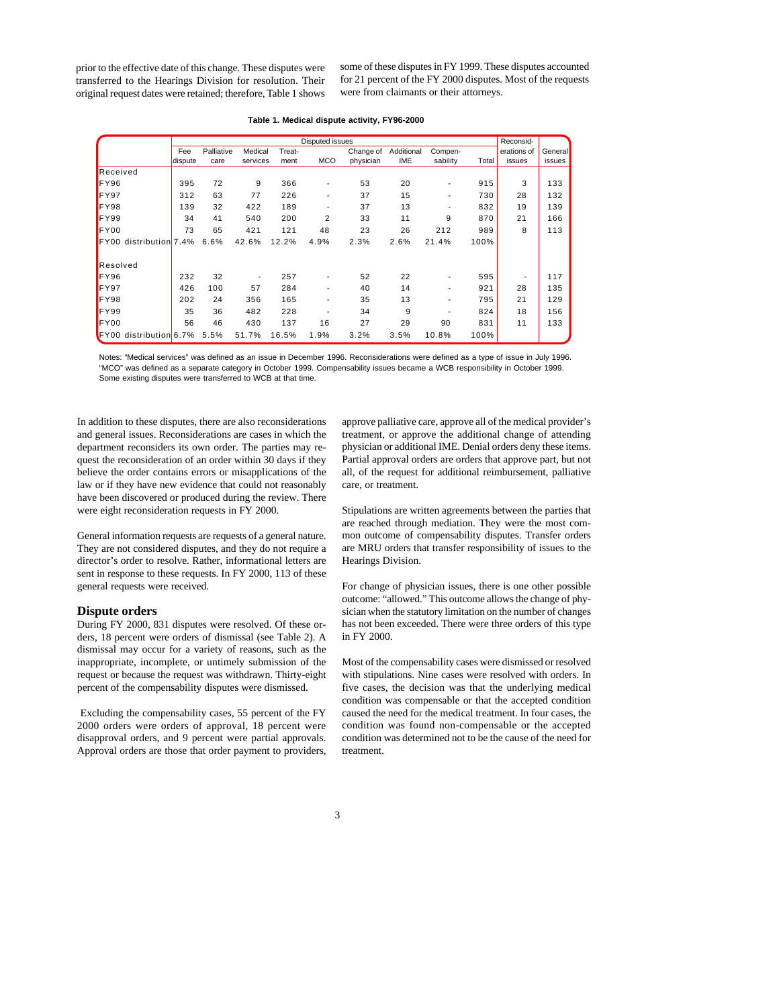prior to the effective date of this change. These disputes were transferred to the Hearings Division for resolution. Their original request dates were retained; therefore, Table 1 shows

some of these disputes in FY 1999. These disputes accounted for 21 percent of the FY 2000 disputes. Most of the requests were from claimants or their attorneys.

|                           | Disputed issues |            |                          |        |                          |           |            |          |       |             |         |
|---------------------------|-----------------|------------|--------------------------|--------|--------------------------|-----------|------------|----------|-------|-------------|---------|
|                           | Fee             | Palliative | Medical                  | Treat- |                          | Change of | Additional | Compen-  |       | erations of | General |
|                           | dispute         | care       | services                 | ment   | <b>MCO</b>               | physician | <b>IME</b> | sability | Total | issues      | issues  |
| Received                  |                 |            |                          |        |                          |           |            |          |       |             |         |
| FY96                      | 395             | 72         | 9                        | 366    | ٠                        | 53        | 20         |          | 915   | 3           | 133     |
| FY97                      | 312             | 63         | 77                       | 226    | $\overline{\phantom{a}}$ | 37        | 15         |          | 730   | 28          | 132     |
| FY98                      | 139             | 32         | 422                      | 189    | $\overline{\phantom{a}}$ | 37        | 13         |          | 832   | 19          | 139     |
| FY99                      | 34              | 41         | 540                      | 200    | 2                        | 33        | 11         | 9        | 870   | 21          | 166     |
| FY00                      | 73              | 65         | 421                      | 121    | 48                       | 23        | 26         | 212      | 989   | 8           | 113     |
| distribution 7.4%<br>FY00 |                 | 6.6%       | 42.6%                    | 12.2%  | 4.9%                     | 2.3%      | 2.6%       | 21.4%    | 100%  |             |         |
| Resolved                  |                 |            |                          |        |                          |           |            |          |       |             |         |
| FY96                      | 232             | 32         | $\overline{\phantom{a}}$ | 257    | $\overline{\phantom{a}}$ | 52        | 22         |          | 595   |             | 117     |
| FY97                      | 426             | 100        | 57                       | 284    |                          | 40        | 14         |          | 921   | 28          | 135     |
| FY98                      | 202             | 24         | 356                      | 165    |                          | 35        | 13         |          | 795   | 21          | 129     |
| FY99                      | 35              | 36         | 482                      | 228    |                          | 34        | 9          |          | 824   | 18          | 156     |
| FY00                      | 56              | 46         | 430                      | 137    | 16                       | 27        | 29         | 90       | 831   | 11          | 133     |
| FY00 distribution 6.7%    |                 | 5.5%       | 51.7%                    | 16.5%  | 1.9%                     | 3.2%      | 3.5%       | 10.8%    | 100%  |             |         |

#### **Table 1. Medical dispute activity, FY96-2000**

Notes: "Medical services" was defined as an issue in December 1996. Reconsiderations were defined as a type of issue in July 1996. "MCO" was defined as a separate category in October 1999. Compensability issues became a WCB responsibility in October 1999. Some existing disputes were transferred to WCB at that time.

In addition to these disputes, there are also reconsiderations and general issues. Reconsiderations are cases in which the department reconsiders its own order. The parties may request the reconsideration of an order within 30 days if they believe the order contains errors or misapplications of the law or if they have new evidence that could not reasonably have been discovered or produced during the review. There were eight reconsideration requests in FY 2000.

General information requests are requests of a general nature. They are not considered disputes, and they do not require a director's order to resolve. Rather, informational letters are sent in response to these requests. In FY 2000, 113 of these general requests were received.

#### **Dispute orders**

During FY 2000, 831 disputes were resolved. Of these orders, 18 percent were orders of dismissal (see Table 2). A dismissal may occur for a variety of reasons, such as the inappropriate, incomplete, or untimely submission of the request or because the request was withdrawn. Thirty-eight percent of the compensability disputes were dismissed.

 Excluding the compensability cases, 55 percent of the FY 2000 orders were orders of approval, 18 percent were disapproval orders, and 9 percent were partial approvals. Approval orders are those that order payment to providers,

approve palliative care, approve all of the medical provider's treatment, or approve the additional change of attending physician or additional IME. Denial orders deny these items. Partial approval orders are orders that approve part, but not all, of the request for additional reimbursement, palliative care, or treatment.

Stipulations are written agreements between the parties that are reached through mediation. They were the most common outcome of compensability disputes. Transfer orders are MRU orders that transfer responsibility of issues to the Hearings Division.

For change of physician issues, there is one other possible outcome: "allowed." This outcome allows the change of physician when the statutory limitation on the number of changes has not been exceeded. There were three orders of this type in FY 2000.

Most of the compensability cases were dismissed or resolved with stipulations. Nine cases were resolved with orders. In five cases, the decision was that the underlying medical condition was compensable or that the accepted condition caused the need for the medical treatment. In four cases, the condition was found non-compensable or the accepted condition was determined not to be the cause of the need for treatment.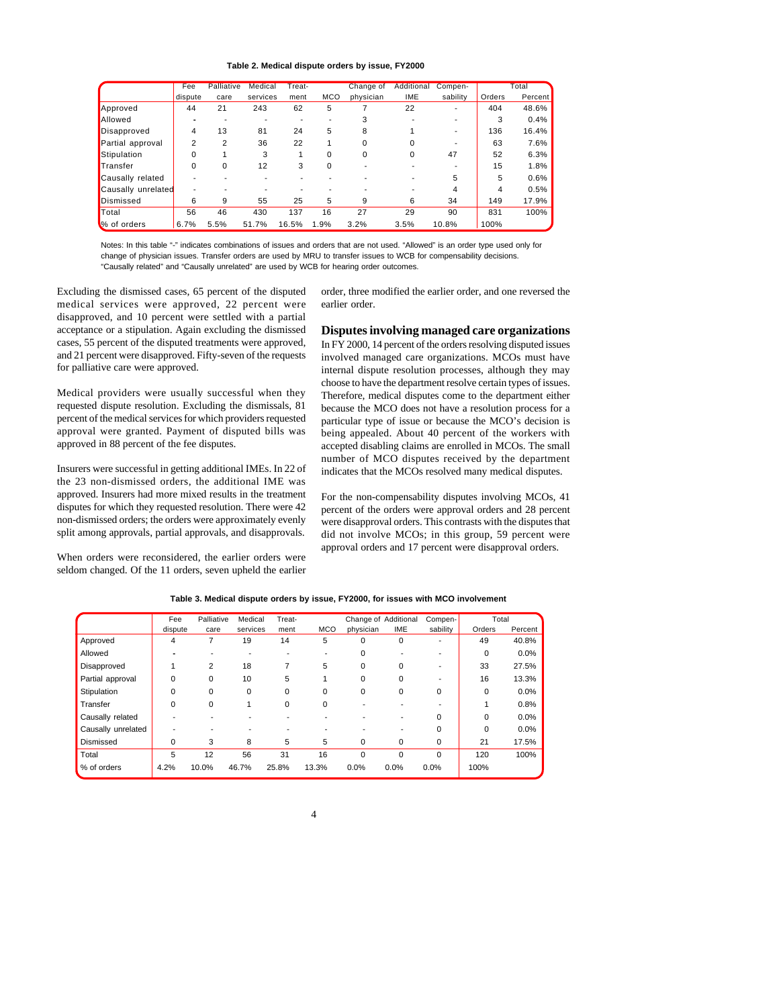#### **Table 2. Medical dispute orders by issue, FY2000**

|                    | Fee      | Palliative | Medical  | Treat- |            | Change of | Additional | Compen-  |        | Total   |
|--------------------|----------|------------|----------|--------|------------|-----------|------------|----------|--------|---------|
|                    | dispute  | care       | services | ment   | <b>MCO</b> | physician | <b>IME</b> | sability | Orders | Percent |
| Approved           | 44       | 21         | 243      | 62     | 5          |           | 22         |          | 404    | 48.6%   |
| <b>Allowed</b>     |          |            |          |        |            |           |            |          | 3      | 0.4%    |
| Disapproved        | 4        | 13         | 81       | 24     | 5          | 8         |            |          | 136    | 16.4%   |
| Partial approval   | 2        | 2          | 36       | 22     |            | 0         |            |          | 63     | 7.6%    |
| Stipulation        |          |            | 3        |        | 0          |           | 0          | 47       | 52     | 6.3%    |
| Transfer           | $\Omega$ | $\Omega$   | 12       | 3      | 0          |           |            |          | 15     | 1.8%    |
| Causally related   |          |            |          |        |            |           |            | 5        | 5      | 0.6%    |
| Causally unrelated |          |            |          |        |            |           |            | 4        | 4      | 0.5%    |
| Dismissed          | 6        | 9          | 55       | 25     | 5          | 9         | 6          | 34       | 149    | 17.9%   |
| <b>T</b> otal      | 56       | 46         | 430      | 137    | 16         | 27        | 29         | 90       | 831    | 100%    |
| % of orders        | 6.7%     | 5.5%       | 51.7%    | 16.5%  | 1.9%       | 3.2%      | 3.5%       | 10.8%    | 100%   |         |

Notes: In this table "-" indicates combinations of issues and orders that are not used. "Allowed" is an order type used only for change of physician issues. Transfer orders are used by MRU to transfer issues to WCB for compensability decisions. "Causally related" and "Causally unrelated" are used by WCB for hearing order outcomes.

Excluding the dismissed cases, 65 percent of the disputed medical services were approved, 22 percent were disapproved, and 10 percent were settled with a partial acceptance or a stipulation. Again excluding the dismissed cases, 55 percent of the disputed treatments were approved, and 21 percent were disapproved. Fifty-seven of the requests for palliative care were approved.

Medical providers were usually successful when they requested dispute resolution. Excluding the dismissals, 81 percent of the medical services for which providers requested approval were granted. Payment of disputed bills was approved in 88 percent of the fee disputes.

Insurers were successful in getting additional IMEs. In 22 of the 23 non-dismissed orders, the additional IME was approved. Insurers had more mixed results in the treatment disputes for which they requested resolution. There were 42 non-dismissed orders; the orders were approximately evenly split among approvals, partial approvals, and disapprovals.

When orders were reconsidered, the earlier orders were seldom changed. Of the 11 orders, seven upheld the earlier order, three modified the earlier order, and one reversed the earlier order.

## **Disputes involving managed care organizations**

In FY 2000, 14 percent of the orders resolving disputed issues involved managed care organizations. MCOs must have internal dispute resolution processes, although they may choose to have the department resolve certain types of issues. Therefore, medical disputes come to the department either because the MCO does not have a resolution process for a particular type of issue or because the MCO's decision is being appealed. About 40 percent of the workers with accepted disabling claims are enrolled in MCOs. The small number of MCO disputes received by the department indicates that the MCOs resolved many medical disputes.

For the non-compensability disputes involving MCOs, 41 percent of the orders were approval orders and 28 percent were disapproval orders. This contrasts with the disputes that did not involve MCOs; in this group, 59 percent were approval orders and 17 percent were disapproval orders.

|                    | Fee      | Palliative | Medical  | Treat- |            | Change of Additional |            | Compen-                  | Total    |         |
|--------------------|----------|------------|----------|--------|------------|----------------------|------------|--------------------------|----------|---------|
|                    | dispute  | care       | services | ment   | <b>MCO</b> | physician            | <b>IME</b> | sability                 | Orders   | Percent |
| Approved           | 4        |            | 19       | 14     | 5          | 0                    | 0          | $\overline{\phantom{a}}$ | 49       | 40.8%   |
| Allowed            |          |            |          |        |            | O                    |            |                          | 0        | 0.0%    |
| Disapproved        |          | 2          | 18       |        | 5          | $\Omega$             | $\Omega$   |                          | 33       | 27.5%   |
| Partial approval   | 0        | 0          | 10       | 5      |            | $\Omega$             | $\Omega$   |                          | 16       | 13.3%   |
| Stipulation        | 0        | 0          | 0        | 0      | 0          | 0                    | 0          | 0                        | 0        | 0.0%    |
| Transfer           | $\Omega$ | 0          |          | 0      | 0          |                      |            |                          |          | 0.8%    |
| Causally related   |          |            |          |        |            |                      |            | $\Omega$                 | $\Omega$ | 0.0%    |
| Causally unrelated |          |            |          |        |            |                      |            | 0                        | $\Omega$ | 0.0%    |
| Dismissed          | 0        | 3          | 8        | 5      | 5          | 0                    | 0          | $\mathbf 0$              | 21       | 17.5%   |
| Total              | 5        | 12         | 56       | 31     | 16         | $\Omega$             | $\Omega$   | $\Omega$                 | 120      | 100%    |
| % of orders        | 4.2%     | 10.0%      | 46.7%    | 25.8%  | 13.3%      | 0.0%                 | 0.0%       | 0.0%                     | 100%     |         |

**Table 3. Medical dispute orders by issue, FY2000, for issues with MCO involvement**